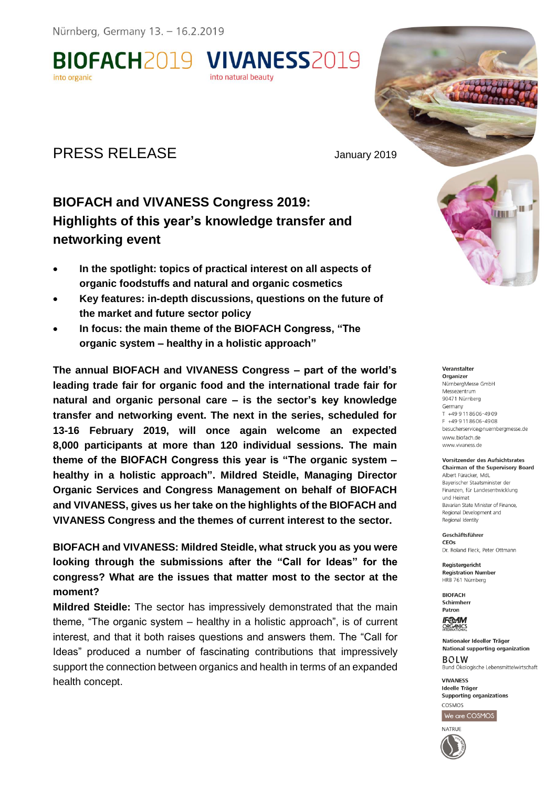**BIOFACH2019 VIVANESS2019** into organic

# PRESS RELEASE January 2019

## **BIOFACH and VIVANESS Congress 2019: Highlights of this year's knowledge transfer and networking event**

into natural beauty

- **In the spotlight: topics of practical interest on all aspects of organic foodstuffs and natural and organic cosmetics**
- **Key features: in-depth discussions, questions on the future of the market and future sector policy**
- **In focus: the main theme of the BIOFACH Congress, "The organic system – healthy in a holistic approach"**

**The annual BIOFACH and VIVANESS Congress – part of the world's leading trade fair for organic food and the international trade fair for natural and organic personal care – is the sector's key knowledge transfer and networking event. The next in the series, scheduled for 13-16 February 2019, will once again welcome an expected 8,000 participants at more than 120 individual sessions. The main theme of the BIOFACH Congress this year is "The organic system – healthy in a holistic approach". Mildred Steidle, Managing Director Organic Services and Congress Management on behalf of BIOFACH and VIVANESS, gives us her take on the highlights of the BIOFACH and VIVANESS Congress and the themes of current interest to the sector.** 

**BIOFACH and VIVANESS: Mildred Steidle, what struck you as you were looking through the submissions after the "Call for Ideas" for the congress? What are the issues that matter most to the sector at the moment?** 

**Mildred Steidle:** The sector has impressively demonstrated that the main theme, "The organic system – healthy in a holistic approach", is of current interest, and that it both raises questions and answers them. The "Call for Ideas" produced a number of fascinating contributions that impressively support the connection between organics and health in terms of an expanded health concept.

# III I **THE T**

Veranstalter Organizer NürnbergMesse GmbH Messezentrum 90471 Nürnberg Germany  $T$  +49 9 11 86 06 - 49 09 F +49 9 11 8 6 0 6 - 4 9 0 8 besucherservice@nuernberamesse.de www.biofach.de www.vivaness.de

**Vorsitzender des Aufsichtsrates** Chairman of the Supervisory Board Albert Füracker, MdL Bayerischer Staatsminister der Einanzen, für Landesentwicklung und Heimat Bavarian State Minister of Finance. Regional Development and Regional Identity

Geschäftsführer CEOS Dr. Roland Fleck, Peter Ottmann

Registergericht **Registration Number** HRB 761 Nürnberg

**BIOFACH** Schirmherr Patron

**IF®AM ORGANICS** 

Nationaler Ideeller Träger National supporting organization **BOLW** Bund Ökologische Lebensmittelwirtschaft

**VIVANESS** Ideelle Träge Supporting organizations COSMOS

We are COSMOS

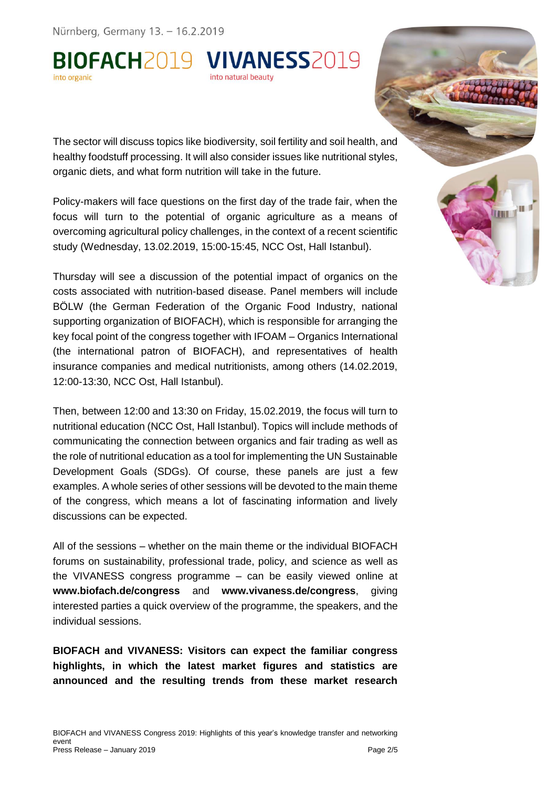BIOFACH2019 VIVANESS2019 nto natural beauty

The sector will discuss topics like biodiversity, soil fertility and soil health, and healthy foodstuff processing. It will also consider issues like nutritional styles, organic diets, and what form nutrition will take in the future.

Policy-makers will face questions on the first day of the trade fair, when the focus will turn to the potential of organic agriculture as a means of overcoming agricultural policy challenges, in the context of a recent scientific study (Wednesday, 13.02.2019, 15:00-15:45, NCC Ost, Hall Istanbul).

ш **THEFT** 

Thursday will see a discussion of the potential impact of organics on the costs associated with nutrition-based disease. Panel members will include BÖLW (the German Federation of the Organic Food Industry, national supporting organization of BIOFACH), which is responsible for arranging the key focal point of the congress together with IFOAM – Organics International (the international patron of BIOFACH), and representatives of health insurance companies and medical nutritionists, among others (14.02.2019, 12:00-13:30, NCC Ost, Hall Istanbul).

Then, between 12:00 and 13:30 on Friday, 15.02.2019, the focus will turn to nutritional education (NCC Ost, Hall Istanbul). Topics will include methods of communicating the connection between organics and fair trading as well as the role of nutritional education as a tool for implementing the UN Sustainable Development Goals (SDGs). Of course, these panels are just a few examples. A whole series of other sessions will be devoted to the main theme of the congress, which means a lot of fascinating information and lively discussions can be expected.

All of the sessions – whether on the main theme or the individual BIOFACH forums on sustainability, professional trade, policy, and science as well as the VIVANESS congress programme – can be easily viewed online at **www.biofach.de/congress** and **www.vivaness.de/congress**, giving interested parties a quick overview of the programme, the speakers, and the individual sessions.

**BIOFACH and VIVANESS: Visitors can expect the familiar congress highlights, in which the latest market figures and statistics are announced and the resulting trends from these market research**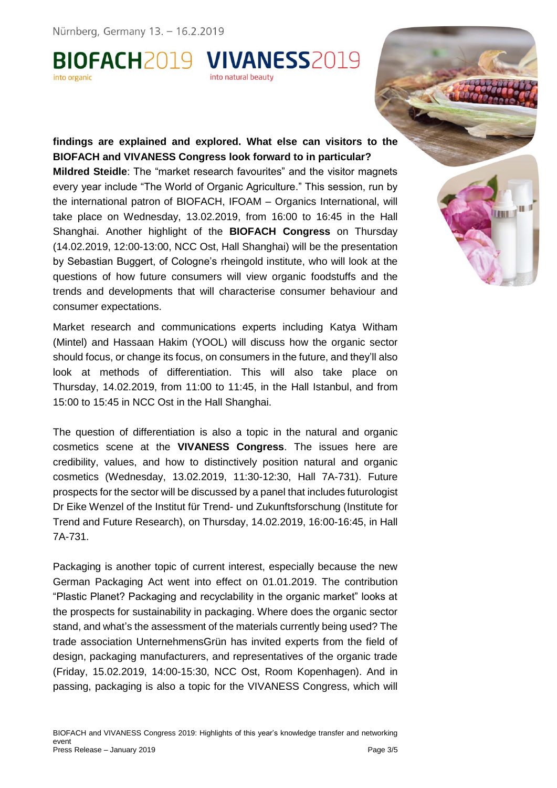BIOFACH2019 VIVANESS2019 into natural beauty

#### **findings are explained and explored. What else can visitors to the BIOFACH and VIVANESS Congress look forward to in particular?**

**Mildred Steidle**: The "market research favourites" and the visitor magnets every year include "The World of Organic Agriculture." This session, run by the international patron of BIOFACH, IFOAM – Organics International, will take place on Wednesday, 13.02.2019, from 16:00 to 16:45 in the Hall Shanghai. Another highlight of the **BIOFACH Congress** on Thursday (14.02.2019, 12:00-13:00, NCC Ost, Hall Shanghai) will be the presentation by Sebastian Buggert, of Cologne's rheingold institute, who will look at the questions of how future consumers will view organic foodstuffs and the trends and developments that will characterise consumer behaviour and consumer expectations.

ш **THEFT** 

Market research and communications experts including Katya Witham (Mintel) and Hassaan Hakim (YOOL) will discuss how the organic sector should focus, or change its focus, on consumers in the future, and they'll also look at methods of differentiation. This will also take place on Thursday, 14.02.2019, from 11:00 to 11:45, in the Hall Istanbul, and from 15:00 to 15:45 in NCC Ost in the Hall Shanghai.

The question of differentiation is also a topic in the natural and organic cosmetics scene at the **VIVANESS Congress**. The issues here are credibility, values, and how to distinctively position natural and organic cosmetics (Wednesday, 13.02.2019, 11:30-12:30, Hall 7A-731). Future prospects for the sector will be discussed by a panel that includes futurologist Dr Eike Wenzel of the Institut für Trend- und Zukunftsforschung (Institute for Trend and Future Research), on Thursday, 14.02.2019, 16:00-16:45, in Hall 7A-731.

Packaging is another topic of current interest, especially because the new German Packaging Act went into effect on 01.01.2019. The contribution "Plastic Planet? Packaging and recyclability in the organic market" looks at the prospects for sustainability in packaging. Where does the organic sector stand, and what's the assessment of the materials currently being used? The trade association UnternehmensGrün has invited experts from the field of design, packaging manufacturers, and representatives of the organic trade (Friday, 15.02.2019, 14:00-15:30, NCC Ost, Room Kopenhagen). And in passing, packaging is also a topic for the VIVANESS Congress, which will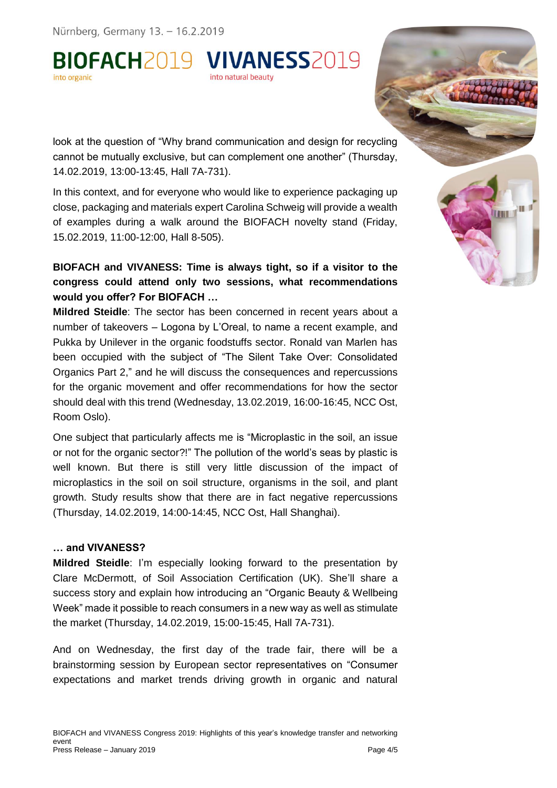BIOFACH2019 VIVANESS2019 into natural beauty

look at the question of "Why brand communication and design for recycling cannot be mutually exclusive, but can complement one another" (Thursday, 14.02.2019, 13:00-13:45, Hall 7A-731).

In this context, and for everyone who would like to experience packaging up close, packaging and materials expert Carolina Schweig will provide a wealth of examples during a walk around the BIOFACH novelty stand (Friday, 15.02.2019, 11:00-12:00, Hall 8-505).

ш **THEFT** 

## **BIOFACH and VIVANESS: Time is always tight, so if a visitor to the congress could attend only two sessions, what recommendations would you offer? For BIOFACH …**

**Mildred Steidle**: The sector has been concerned in recent years about a number of takeovers – Logona by L'Oreal, to name a recent example, and Pukka by Unilever in the organic foodstuffs sector. Ronald van Marlen has been occupied with the subject of "The Silent Take Over: Consolidated Organics Part 2," and he will discuss the consequences and repercussions for the organic movement and offer recommendations for how the sector should deal with this trend (Wednesday, 13.02.2019, 16:00-16:45, NCC Ost, Room Oslo).

One subject that particularly affects me is "Microplastic in the soil, an issue or not for the organic sector?!" The pollution of the world's seas by plastic is well known. But there is still very little discussion of the impact of microplastics in the soil on soil structure, organisms in the soil, and plant growth. Study results show that there are in fact negative repercussions (Thursday, 14.02.2019, 14:00-14:45, NCC Ost, Hall Shanghai).

#### **… and VIVANESS?**

**Mildred Steidle**: I'm especially looking forward to the presentation by Clare McDermott, of Soil Association Certification (UK). She'll share a success story and explain how introducing an "Organic Beauty & Wellbeing Week" made it possible to reach consumers in a new way as well as stimulate the market (Thursday, 14.02.2019, 15:00-15:45, Hall 7A-731).

And on Wednesday, the first day of the trade fair, there will be a brainstorming session by European sector representatives on "Consumer expectations and market trends driving growth in organic and natural